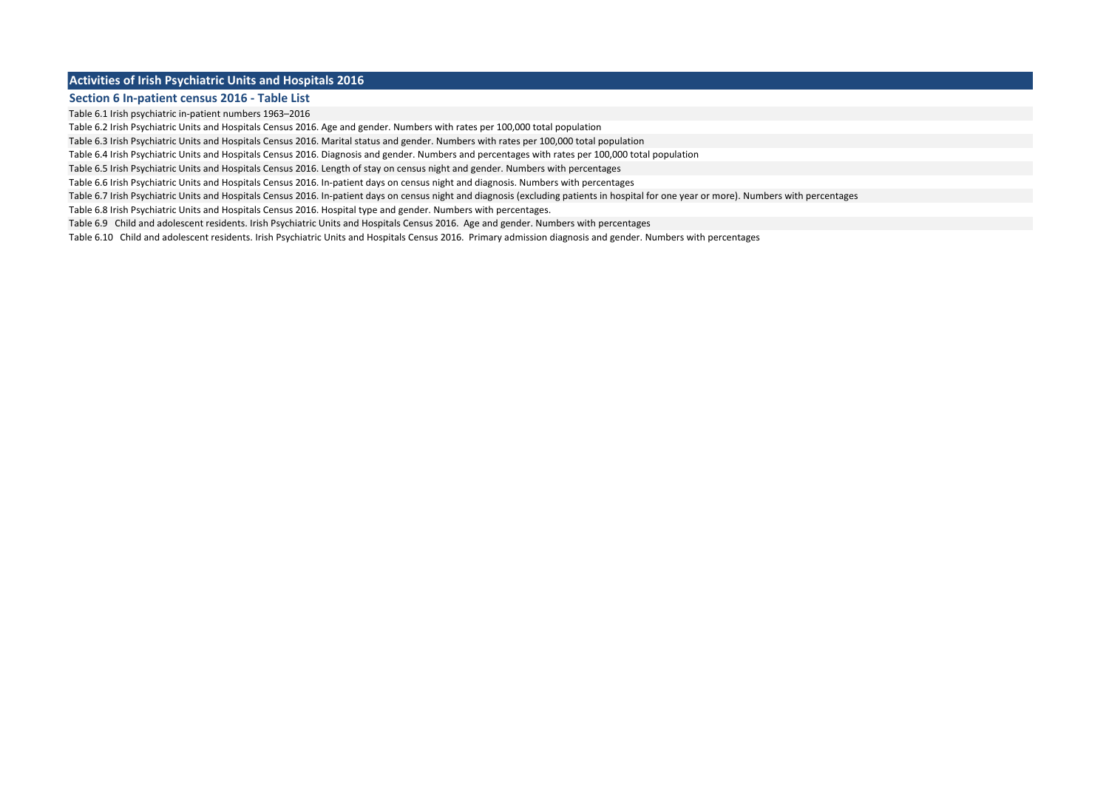#### **Activities of Irish Psychiatric Units and Hospitals 2016**

#### **Section 6 In-patient census 2016 - Table List**

Table 6.1 Irish psychiatric in-patient numbers 1963–2016

Table 6.2 Irish Psychiatric Units and Hospitals Census 2016. Age and gender. Numbers with rates per 100,000 total population

Table 6.3 Irish Psychiatric Units and Hospitals Census 2016. Marital status and gender. Numbers with rates per 100,000 total population

Table 6.4 Irish Psychiatric Units and Hospitals Census 2016. Diagnosis and gender. Numbers and percentages with rates per 100,000 total population

Table 6.5 Irish Psychiatric Units and Hospitals Census 2016. Length of stay on census night and gender. Numbers with percentages

Table 6.6 Irish Psychiatric Units and Hospitals Census 2016. In-patient days on census night and diagnosis. Numbers with percentages

Table 6.7 Irish Psychiatric Units and Hospitals Census 2016. In-patient days on census night and diagnosis (excluding patients in hospital for one year or more). Numbers with percentages

Table 6.8 Irish Psychiatric Units and Hospitals Census 2016. Hospital type and gender. Numbers with percentages.

Table 6.9 Child and adolescent residents. Irish Psychiatric Units and Hospitals Census 2016. Age and gender. Numbers with percentages

Table 6.10 Child and adolescent residents. Irish Psychiatric Units and Hospitals Census 2016. Primary admission diagnosis and gender. Numbers with percentages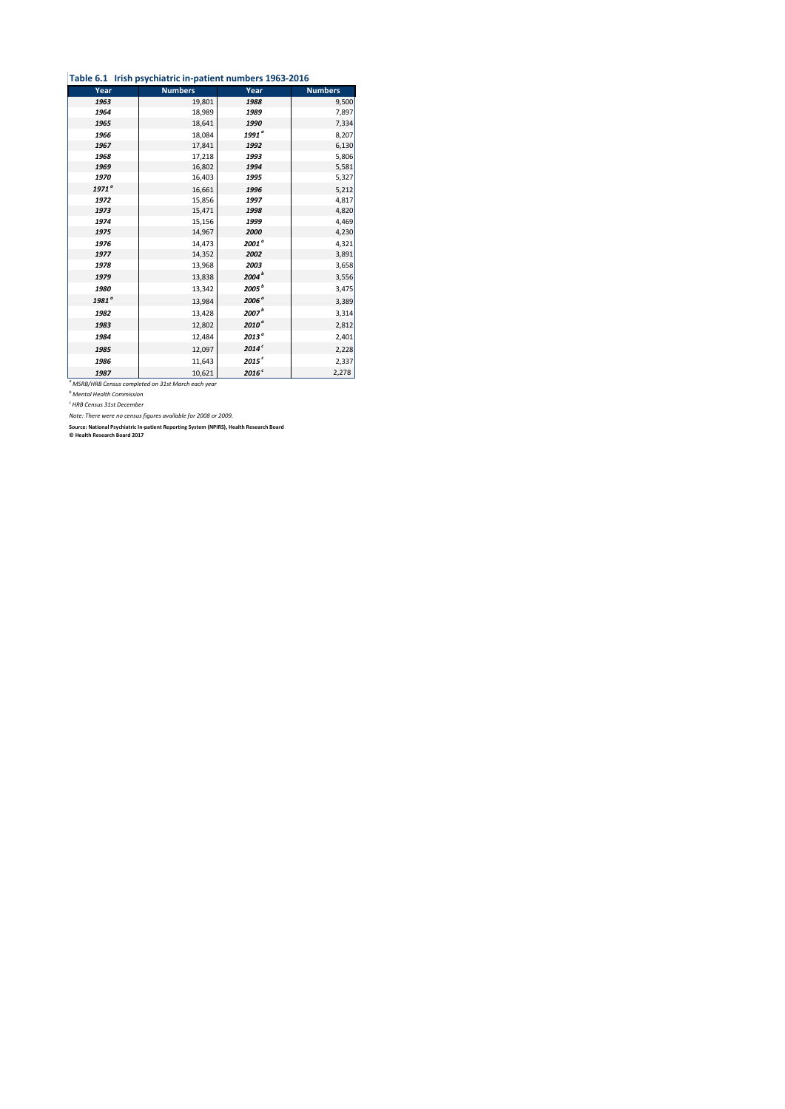|  | Table 6.1 Irish psychiatric in-patient numbers 1963-2016 |  |
|--|----------------------------------------------------------|--|
|--|----------------------------------------------------------|--|

| Year              | <b>Numbers</b>                                                           | Year              | <b>Numbers</b> |
|-------------------|--------------------------------------------------------------------------|-------------------|----------------|
| 1963              | 19,801                                                                   | 1988              | 9,500          |
| 1964              | 18,989                                                                   | 1989              | 7,897          |
| 1965              | 18,641                                                                   | 1990              | 7,334          |
| 1966              | 18,084                                                                   | 1991 <sup>ª</sup> | 8,207          |
| 1967              | 17,841                                                                   | 1992              | 6,130          |
| 1968              | 17,218                                                                   | 1993              | 5,806          |
| 1969              | 16,802                                                                   | 1994              | 5,581          |
| 1970              | 16,403                                                                   | 1995              | 5,327          |
| 1971 <sup>a</sup> | 16,661                                                                   | 1996              | 5,212          |
| 1972              | 15,856                                                                   | 1997              | 4,817          |
| 1973              | 15,471                                                                   | 1998              | 4,820          |
| 1974              | 15,156                                                                   | 1999              | 4,469          |
| 1975              | 14,967                                                                   | 2000              | 4,230          |
| 1976              | 14,473                                                                   | 2001 <sup>a</sup> | 4,321          |
| 1977              | 14,352                                                                   | 2002              | 3,891          |
| 1978              | 13,968                                                                   | 2003              | 3,658          |
| 1979              | 13,838                                                                   | 2004 <sup>b</sup> | 3,556          |
| 1980              | 13,342                                                                   | 2005 <sup>b</sup> | 3,475          |
| 1981 <sup>°</sup> | 13,984                                                                   | 2006 <sup>ª</sup> | 3,389          |
| 1982              | 13,428                                                                   | 2007 <sup>b</sup> | 3,314          |
| 1983              | 12,802                                                                   | $2010^{\circ}$    | 2,812          |
| 1984              | 12,484                                                                   | 2013 <sup>a</sup> | 2,401          |
| 1985              | 12,097                                                                   | 2014 <sup>c</sup> | 2,228          |
| 1986              | 11,643                                                                   | 2015 <sup>c</sup> | 2,337          |
| 1987              | 10,621<br><sup>a</sup> MSRB/HRB Census completed on 31st March each year | 2016 <sup>c</sup> | 2,278          |

*<sup>b</sup> Mental Health Commission*

*c HRB Census 31st December*

*Note: There were no census figures available for 2008 or 2009.*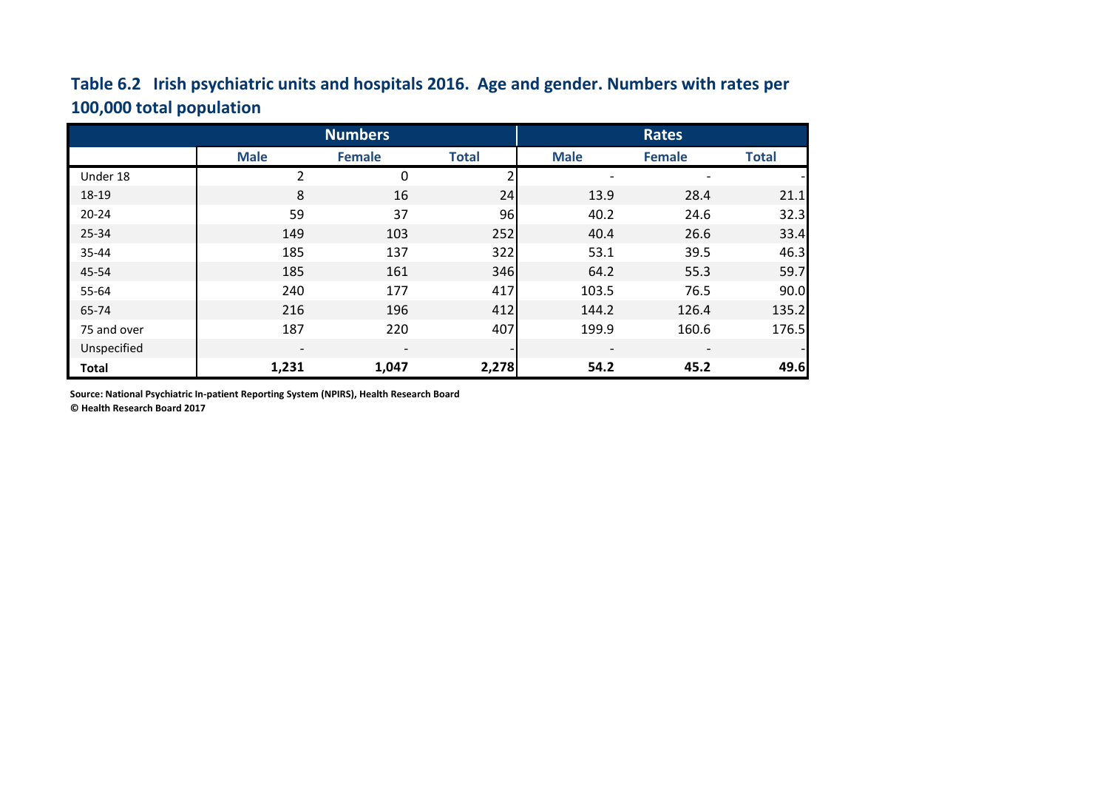# **Table 6.2 Irish psychiatric units and hospitals 2016. Age and gender. Numbers with rates per 100,000 total population**

|              |                          | <b>Numbers</b>           |              | Rates                    |                          |              |
|--------------|--------------------------|--------------------------|--------------|--------------------------|--------------------------|--------------|
|              | <b>Male</b>              | <b>Female</b>            | <b>Total</b> | <b>Male</b>              | <b>Female</b>            | <b>Total</b> |
| Under 18     | $\overline{2}$           | 0                        |              |                          |                          |              |
| 18-19        | 8                        | 16                       | 24           | 13.9                     | 28.4                     | 21.1         |
| $20 - 24$    | 59                       | 37                       | 96           | 40.2                     | 24.6                     | 32.3         |
| 25-34        | 149                      | 103                      | 252          | 40.4                     | 26.6                     | 33.4         |
| 35-44        | 185                      | 137                      | 322          | 53.1                     | 39.5                     | 46.3         |
| 45-54        | 185                      | 161                      | 346          | 64.2                     | 55.3                     | 59.7         |
| 55-64        | 240                      | 177                      | 417          | 103.5                    | 76.5                     | 90.0         |
| 65-74        | 216                      | 196                      | 412          | 144.2                    | 126.4                    | 135.2        |
| 75 and over  | 187                      | 220                      | 407          | 199.9                    | 160.6                    | 176.5        |
| Unspecified  | $\overline{\phantom{a}}$ | $\overline{\phantom{a}}$ |              | $\overline{\phantom{a}}$ | $\overline{\phantom{a}}$ |              |
| <b>Total</b> | 1,231                    | 1,047                    | 2,278        | 54.2                     | 45.2                     | 49.6         |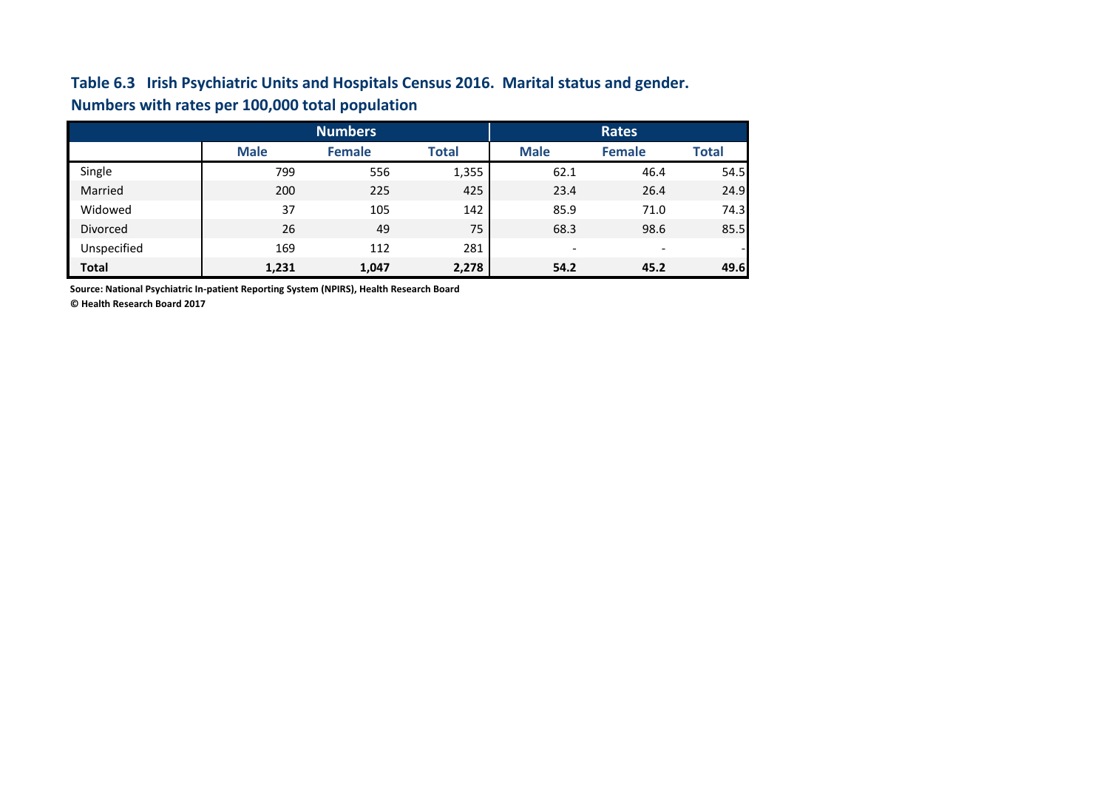### **Table 6.3 Irish Psychiatric Units and Hospitals Census 2016. Marital status and gender. Numbers with rates per 100,000 total population**

|                 |             | <b>Numbers</b> |              | <b>Rates</b>             |                          |                          |
|-----------------|-------------|----------------|--------------|--------------------------|--------------------------|--------------------------|
|                 | <b>Male</b> | <b>Female</b>  | <b>Total</b> | <b>Male</b>              | <b>Female</b>            | <b>Total</b>             |
| Single          | 799         | 556            | 1,355        | 62.1                     | 46.4                     | 54.5                     |
| Married         | 200         | 225            | 425          | 23.4                     | 26.4                     | 24.9                     |
| Widowed         | 37          | 105            | 142          | 85.9                     | 71.0                     | 74.3                     |
| <b>Divorced</b> | 26          | 49             | 75           | 68.3                     | 98.6                     | 85.5                     |
| Unspecified     | 169         | 112            | 281          | $\overline{\phantom{0}}$ | $\overline{\phantom{a}}$ | $\overline{\phantom{0}}$ |
| <b>Total</b>    | 1,231       | 1,047          | 2,278        | 54.2                     | 45.2                     | 49.6                     |

**Source: National Psychiatric In-patient Reporting System (NPIRS), Health Research Board**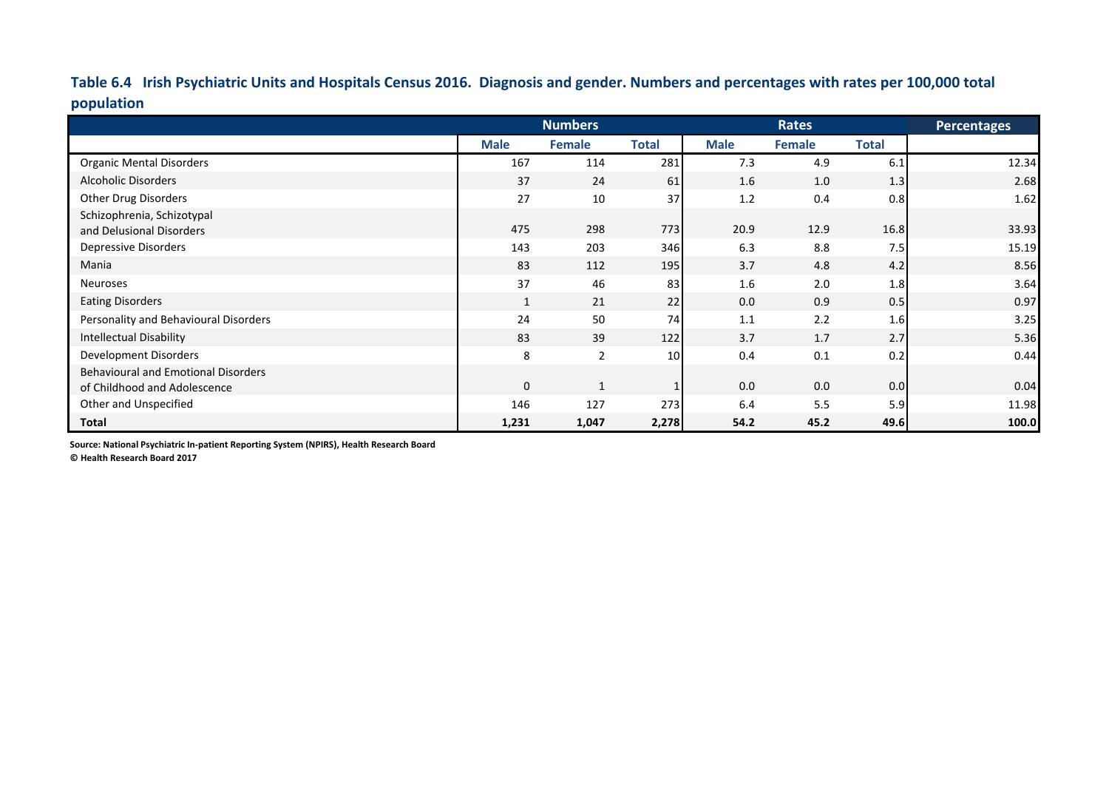**Table 6.4 Irish Psychiatric Units and Hospitals Census 2016. Diagnosis and gender. Numbers and percentages with rates per 100,000 total population**

|                                            |             | <b>Numbers</b> |                 |             | <b>Rates</b> |              | Percentages |
|--------------------------------------------|-------------|----------------|-----------------|-------------|--------------|--------------|-------------|
|                                            | <b>Male</b> | <b>Female</b>  | <b>Total</b>    | <b>Male</b> | Female       | <b>Total</b> |             |
| <b>Organic Mental Disorders</b>            | 167         | 114            | 281             | 7.3         | 4.9          | 6.1          | 12.34       |
| <b>Alcoholic Disorders</b>                 | 37          | 24             | 61              | 1.6         | 1.0          | 1.3          | 2.68        |
| Other Drug Disorders                       | 27          | 10             | 37              | 1.2         | 0.4          | 0.8          | 1.62        |
| Schizophrenia, Schizotypal                 |             |                |                 |             |              |              |             |
| and Delusional Disorders                   | 475         | 298            | 773             | 20.9        | 12.9         | 16.8         | 33.93       |
| Depressive Disorders                       | 143         | 203            | 346             | 6.3         | 8.8          | 7.5          | 15.19       |
| Mania                                      | 83          | 112            | 195             | 3.7         | 4.8          | 4.2          | 8.56        |
| Neuroses                                   | 37          | 46             | 83              | 1.6         | 2.0          | 1.8          | 3.64        |
| <b>Eating Disorders</b>                    | 1           | 21             | 22              | 0.0         | 0.9          | 0.5          | 0.97        |
| Personality and Behavioural Disorders      | 24          | 50             | 74              | 1.1         | 2.2          | 1.6          | 3.25        |
| <b>Intellectual Disability</b>             | 83          | 39             | 122             | 3.7         | 1.7          | 2.7          | 5.36        |
| Development Disorders                      | 8           | $\overline{2}$ | 10 <sup>1</sup> | 0.4         | 0.1          | 0.2          | 0.44        |
| <b>Behavioural and Emotional Disorders</b> |             |                |                 |             |              |              |             |
| of Childhood and Adolescence               | $\mathbf 0$ |                |                 | 0.0         | 0.0          | 0.0          | 0.04        |
| Other and Unspecified                      | 146         | 127            | 273             | 6.4         | 5.5          | 5.9          | 11.98       |
| <b>Total</b>                               | 1,231       | 1,047          | 2,278           | 54.2        | 45.2         | 49.6         | 100.0       |

**Source: National Psychiatric In-patient Reporting System (NPIRS), Health Research Board**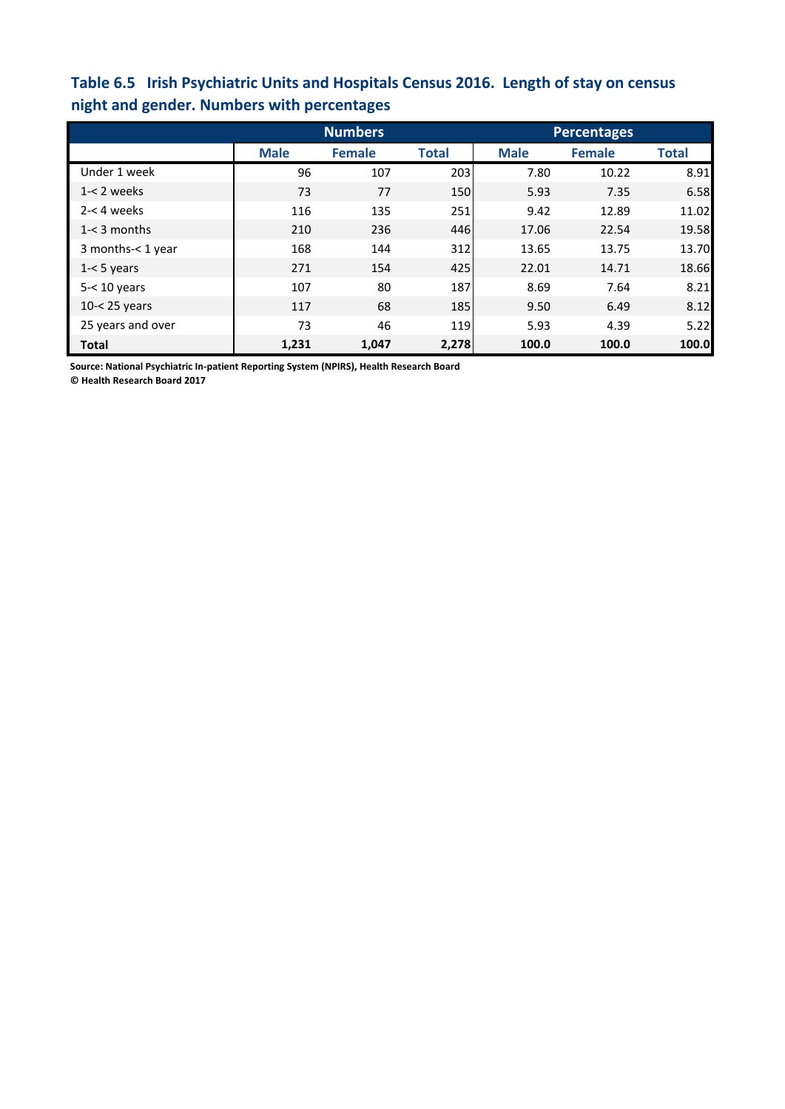## **Table 6.5 Irish Psychiatric Units and Hospitals Census 2016. Length of stay on census night and gender. Numbers with percentages**

|                   |             | <b>Numbers</b> |              | <b>Percentages</b> |               |              |  |
|-------------------|-------------|----------------|--------------|--------------------|---------------|--------------|--|
|                   | <b>Male</b> | <b>Female</b>  | <b>Total</b> | <b>Male</b>        | <b>Female</b> | <b>Total</b> |  |
| Under 1 week      | 96          | 107            | 203          | 7.80               | 10.22         | 8.91         |  |
| $1 - 2$ weeks     | 73          | 77             | 150          | 5.93               | 7.35          | 6.58         |  |
| $2 - 4$ weeks     | 116         | 135            | 251          | 9.42               | 12.89         | 11.02        |  |
| $1 - 3$ months    | 210         | 236            | 446          | 17.06              | 22.54         | 19.58        |  |
| 3 months-< 1 year | 168         | 144            | 312          | 13.65              | 13.75         | 13.70        |  |
| $1 - 5$ years     | 271         | 154            | 425          | 22.01              | 14.71         | 18.66        |  |
| $5 - 10$ years    | 107         | 80             | 187          | 8.69               | 7.64          | 8.21         |  |
| 10-< 25 years     | 117         | 68             | 185          | 9.50               | 6.49          | 8.12         |  |
| 25 years and over | 73          | 46             | 119          | 5.93               | 4.39          | 5.22         |  |
| <b>Total</b>      | 1,231       | 1,047          | 2,278        | 100.0              | 100.0         | 100.0        |  |

**Source: National Psychiatric In-patient Reporting System (NPIRS), Health Research Board**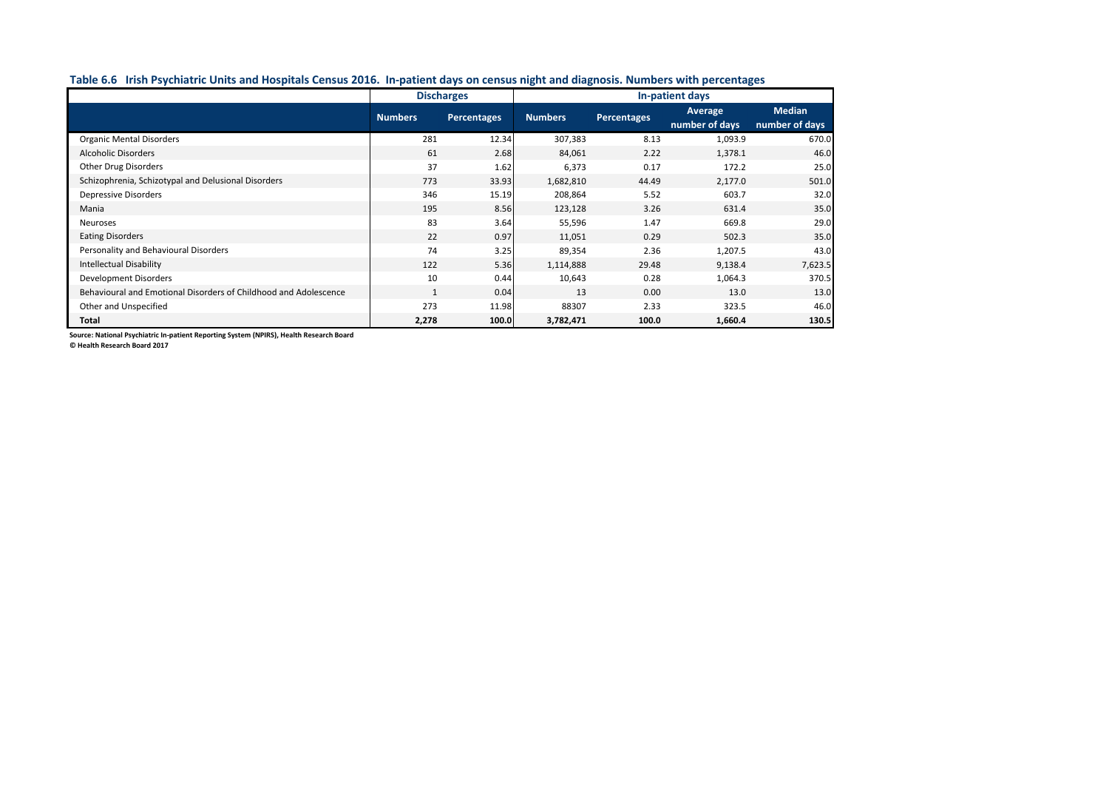### **Table 6.6 Irish Psychiatric Units and Hospitals Census 2016. In-patient days on census night and diagnosis. Numbers with percentages**

|                                                                  | <b>Discharges</b>             |       | In-patient days |             |                |                |  |
|------------------------------------------------------------------|-------------------------------|-------|-----------------|-------------|----------------|----------------|--|
|                                                                  | <b>Numbers</b><br>Percentages |       | <b>Numbers</b>  | Percentages | <b>Average</b> | <b>Median</b>  |  |
|                                                                  |                               |       |                 |             | number of days | number of days |  |
| <b>Organic Mental Disorders</b>                                  | 281                           | 12.34 | 307,383         | 8.13        | 1,093.9        | 670.0          |  |
| <b>Alcoholic Disorders</b>                                       | 61                            | 2.68  | 84,061          | 2.22        | 1,378.1        | 46.0           |  |
| <b>Other Drug Disorders</b>                                      | 37                            | 1.62  | 6,373           | 0.17        | 172.2          | 25.0           |  |
| Schizophrenia, Schizotypal and Delusional Disorders              | 773                           | 33.93 | 1,682,810       | 44.49       | 2,177.0        | 501.0          |  |
| <b>Depressive Disorders</b>                                      | 346                           | 15.19 | 208,864         | 5.52        | 603.7          | 32.0           |  |
| Mania                                                            | 195                           | 8.56  | 123,128         | 3.26        | 631.4          | 35.0           |  |
| Neuroses                                                         | 83                            | 3.64  | 55,596          | 1.47        | 669.8          | 29.0           |  |
| <b>Eating Disorders</b>                                          | 22                            | 0.97  | 11,051          | 0.29        | 502.3          | 35.0           |  |
| Personality and Behavioural Disorders                            | 74                            | 3.25  | 89,354          | 2.36        | 1,207.5        | 43.0           |  |
| <b>Intellectual Disability</b>                                   | 122                           | 5.36  | 1,114,888       | 29.48       | 9,138.4        | 7,623.5        |  |
| <b>Development Disorders</b>                                     | 10                            | 0.44  | 10,643          | 0.28        | 1,064.3        | 370.5          |  |
| Behavioural and Emotional Disorders of Childhood and Adolescence | $\mathbf{1}$                  | 0.04  | 13              | 0.00        | 13.0           | 13.0           |  |
| Other and Unspecified                                            | 273                           | 11.98 | 88307           | 2.33        | 323.5          | 46.0           |  |
| Total                                                            | 2,278                         | 100.0 | 3,782,471       | 100.0       | 1,660.4        | 130.5          |  |

**Source: National Psychiatric In-patient Reporting System (NPIRS), Health Research Board**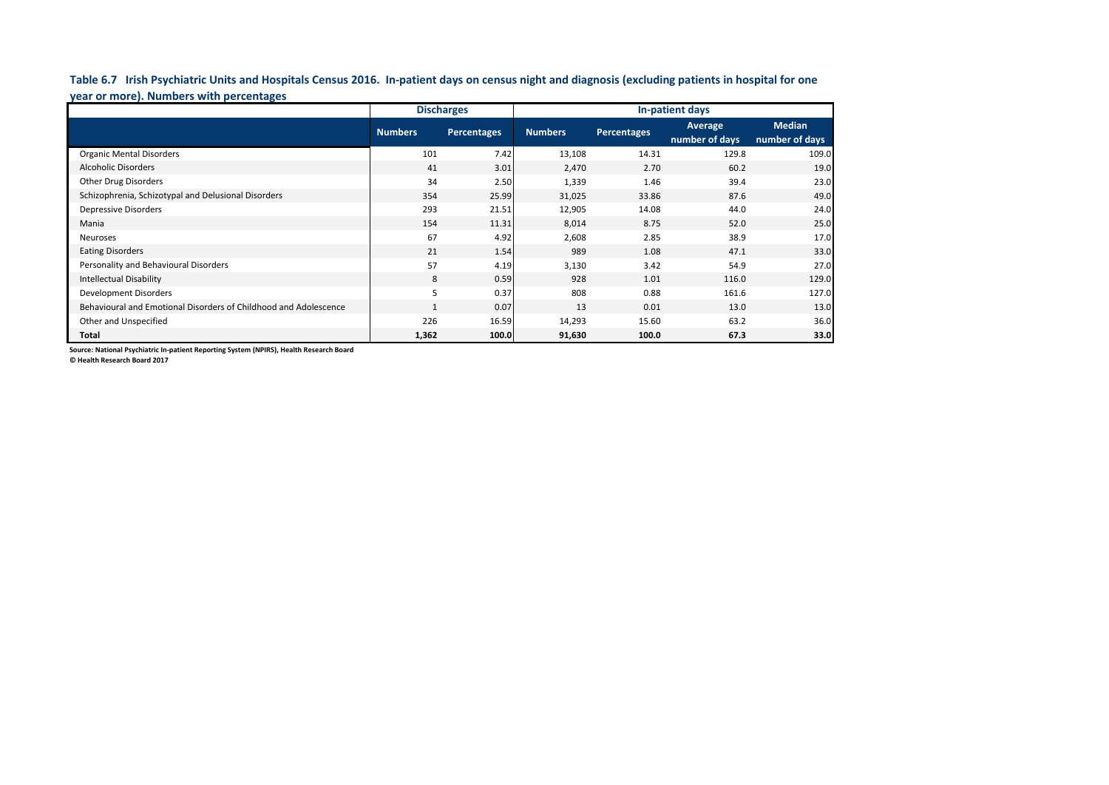**Table 6.7 Irish Psychiatric Units and Hospitals Census 2016. In-patient days on census night and diagnosis (excluding patients in hospital for one year or more). Numbers with percentages**

|                                                                  |                | <b>Discharges</b>  | In-patient days |                    |                           |                                 |  |
|------------------------------------------------------------------|----------------|--------------------|-----------------|--------------------|---------------------------|---------------------------------|--|
|                                                                  | <b>Numbers</b> | <b>Percentages</b> | <b>Numbers</b>  | <b>Percentages</b> | Average<br>number of days | <b>Median</b><br>number of days |  |
| <b>Organic Mental Disorders</b>                                  | 101            | 7.42               | 13,108          | 14.31              | 129.8                     | 109.0                           |  |
| <b>Alcoholic Disorders</b>                                       | 41             | 3.01               | 2,470           | 2.70               | 60.2                      | 19.0                            |  |
| <b>Other Drug Disorders</b>                                      | 34             | 2.50               | 1,339           | 1.46               | 39.4                      | 23.0                            |  |
| Schizophrenia, Schizotypal and Delusional Disorders              | 354            | 25.99              | 31,025          | 33.86              | 87.6                      | 49.0                            |  |
| <b>Depressive Disorders</b>                                      | 293            | 21.51              | 12,905          | 14.08              | 44.0                      | 24.0                            |  |
| Mania                                                            | 154            | 11.31              | 8,014           | 8.75               | 52.0                      | 25.0                            |  |
| Neuroses                                                         | 67             | 4.92               | 2,608           | 2.85               | 38.9                      | 17.0                            |  |
| <b>Eating Disorders</b>                                          | 21             | 1.54               | 989             | 1.08               | 47.1                      | 33.0                            |  |
| Personality and Behavioural Disorders                            | 57             | 4.19               | 3,130           | 3.42               | 54.9                      | 27.0                            |  |
| <b>Intellectual Disability</b>                                   | 8              | 0.59               | 928             | 1.01               | 116.0                     | 129.0                           |  |
| <b>Development Disorders</b>                                     | 5              | 0.37               | 808             | 0.88               | 161.6                     | 127.0                           |  |
| Behavioural and Emotional Disorders of Childhood and Adolescence | $\mathbf{1}$   | 0.07               | 13              | 0.01               | 13.0                      | 13.0                            |  |
| Other and Unspecified                                            | 226            | 16.59              | 14,293          | 15.60              | 63.2                      | 36.0                            |  |
| Total                                                            | 1,362          | 100.0              | 91,630          | 100.0              | 67.3                      | 33.0                            |  |

**Source: National Psychiatric In-patient Reporting System (NPIRS), Health Research Board**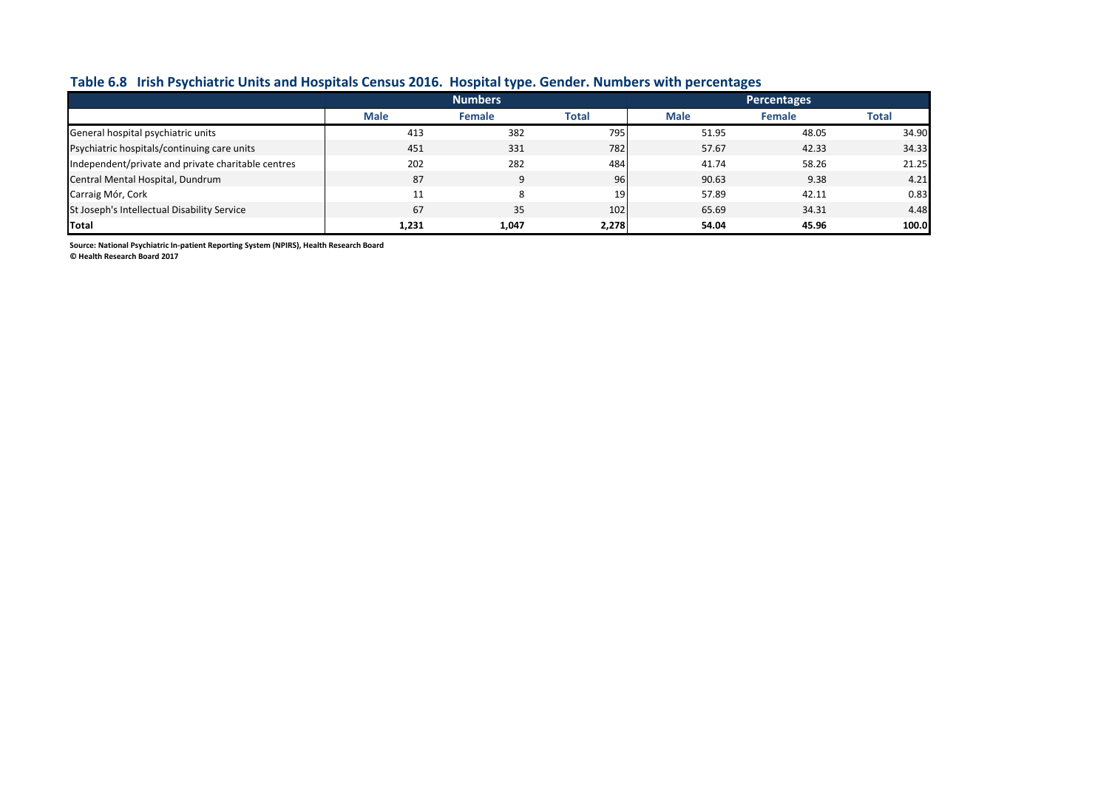### **Table 6.8 Irish Psychiatric Units and Hospitals Census 2016. Hospital type. Gender. Numbers with percentages**

|                                                    |             | <b>Numbers</b> |                 | <b>Percentages</b> |               |       |
|----------------------------------------------------|-------------|----------------|-----------------|--------------------|---------------|-------|
|                                                    | <b>Male</b> | <b>Female</b>  | <b>Total</b>    | <b>Male</b>        | <b>Female</b> | Total |
| General hospital psychiatric units                 | 413         | 382            | 795             | 51.95              | 48.05         | 34.90 |
| Psychiatric hospitals/continuing care units        | 451         | 331            | 782             | 57.67              | 42.33         | 34.33 |
| Independent/private and private charitable centres | 202         | 282            | 484             | 41.74              | 58.26         | 21.25 |
| Central Mental Hospital, Dundrum                   | 87          |                | 96              | 90.63              | 9.38          | 4.21  |
| Carraig Mór, Cork                                  | 11          |                | 19 <sup>1</sup> | 57.89              | 42.11         | 0.83  |
| St Joseph's Intellectual Disability Service        | 67          | 35             | 102             | 65.69              | 34.31         | 4.48  |
| Total                                              | 1,231       | 1,047          | 2,278           | 54.04              | 45.96         | 100.0 |

**Source: National Psychiatric In-patient Reporting System (NPIRS), Health Research Board**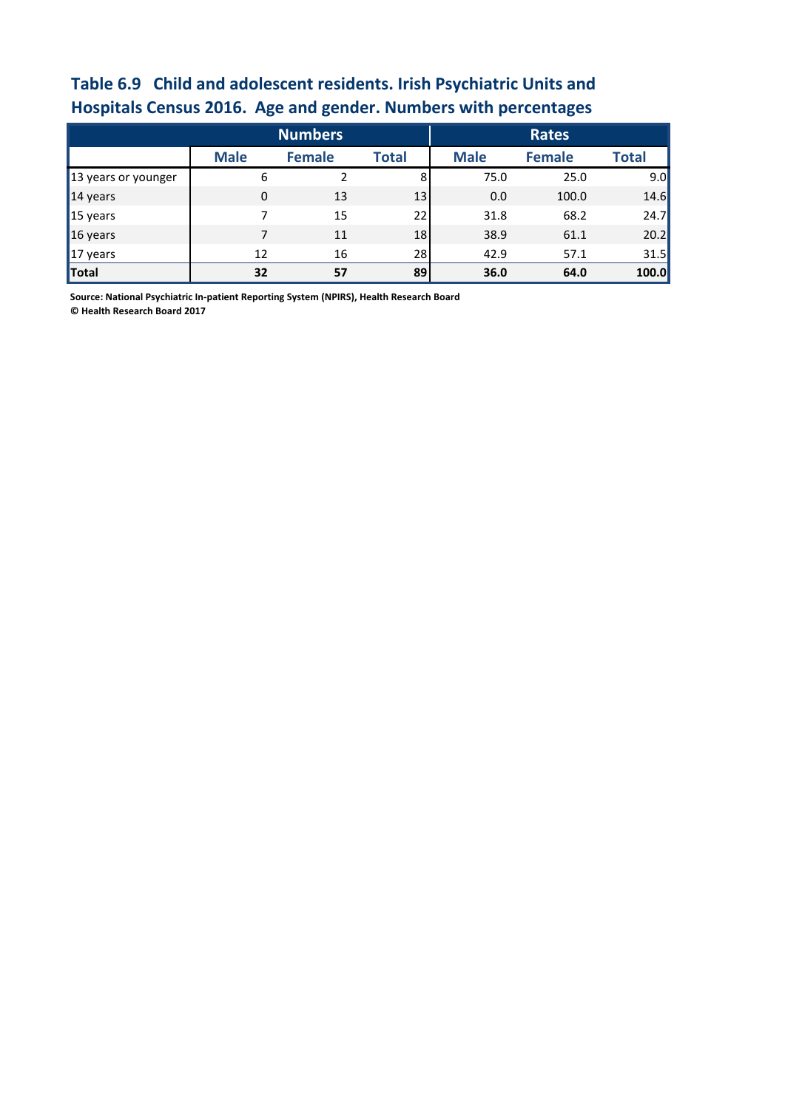# **Table 6.9 Child and adolescent residents. Irish Psychiatric Units and Hospitals Census 2016. Age and gender. Numbers with percentages**

|                     | <b>Numbers</b> |               |              |             | <b>Rates</b>  |              |
|---------------------|----------------|---------------|--------------|-------------|---------------|--------------|
|                     | <b>Male</b>    | <b>Female</b> | <b>Total</b> | <b>Male</b> | <b>Female</b> | <b>Total</b> |
| 13 years or younger | 6              |               | 8            | 75.0        | 25.0          | 9.0          |
| $\vert$ 14 years    | $\mathbf 0$    | 13            | 13           | 0.0         | 100.0         | 14.6         |
| $\vert$ 15 years    | 7              | 15            | 22           | 31.8        | 68.2          | 24.7         |
| $\vert$ 16 years    | 7              | 11            | 18           | 38.9        | 61.1          | 20.2         |
| $17$ years          | 12             | 16            | 28           | 42.9        | 57.1          | 31.5         |
| Total               | 32             | 57            | 89           | 36.0        | 64.0          | 100.0        |